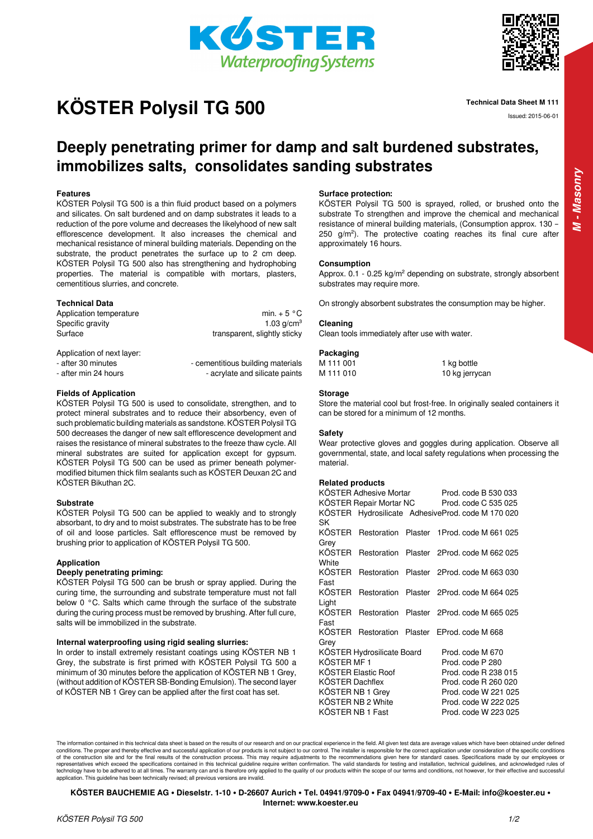

# **Technical Data Sheet M 111 Issued: 2015-06-01 ISSued: 2015-06-01**



*M - Masonry*

# **Deeply penetrating primer for damp and salt burdened substrates, immobilizes salts, consolidates sanding substrates**

# **Features**

KÖSTER Polysil TG 500 is a thin fluid product based on a polymers and silicates. On salt burdened and on damp substrates it leads to a reduction of the pore volume and decreases the likelyhood of new salt efflorescence development. It also increases the chemical and mechanical resistance of mineral building materials. Depending on the substrate, the product penetrates the surface up to 2 cm deep. KÖSTER Polysil TG 500 also has strengthening and hydrophobing properties. The material is compatible with mortars, plasters, cementitious slurries, and concrete.

# **Technical Data**

Application temperature min. + 5 °C

Specific gravity 1.03 g/cm<sup>3</sup> Surface Surface transparent, slightly sticky

Application of next layer:

- after 30 minutes - cementitious building materials

- after min 24 hours **come accompany** - acrylate and silicate paints

# **Fields of Application**

KÖSTER Polysil TG 500 is used to consolidate, strengthen, and to protect mineral substrates and to reduce their absorbency, even of such problematic building materials as sandstone. KÖSTER Polysil TG 500 decreases the danger of new salt efflorescence development and raises the resistance of mineral substrates to the freeze thaw cycle. All mineral substrates are suited for application except for gypsum. KÖSTER Polysil TG 500 can be used as primer beneath polymermodified bitumen thick film sealants such as KÖSTER Deuxan 2C and KÖSTER Bikuthan 2C.

#### **Substrate**

KÖSTER Polysil TG 500 can be applied to weakly and to strongly absorbant, to dry and to moist substrates. The substrate has to be free of oil and loose particles. Salt efflorescence must be removed by brushing prior to application of KÖSTER Polysil TG 500.

#### **Application**

# **Deeply penetrating priming:**

KÖSTER Polysil TG 500 can be brush or spray applied. During the curing time, the surrounding and substrate temperature must not fall below 0 °C. Salts which came through the surface of the substrate during the curing process must be removed by brushing. After full cure, salts will be immobilized in the substrate.

#### **Internal waterproofing using rigid sealing slurries:**

In order to install extremely resistant coatings using KÖSTER NB 1 Grey, the substrate is first primed with KÖSTER Polysil TG 500 a minimum of 30 minutes before the application of KÖSTER NB 1 Grey, (without addition of KÖSTER SB-Bonding Emulsion). The second layer of KÖSTER NB 1 Grey can be applied after the first coat has set.

# **Surface protection:**

KÖSTER Polysil TG 500 is sprayed, rolled, or brushed onto the substrate To strengthen and improve the chemical and mechanical resistance of mineral building materials, (Consumption approx. 130 – 250 g/m²). The protective coating reaches its final cure after approximately 16 hours.

# **Consumption**

Approx. 0.1 - 0.25 kg/m² depending on substrate, strongly absorbent substrates may require more.

On strongly absorbent substrates the consumption may be higher.

#### **Cleaning**

Clean tools immediately after use with water.

#### **Packaging**

M 111 001 1 kg bottle M 111 010 10 kg jerrycan

# **Storage**

Store the material cool but frost-free. In originally sealed containers it can be stored for a minimum of 12 months.

#### **Safety**

Wear protective gloves and goggles during application. Observe all governmental, state, and local safety regulations when processing the material.

#### **Related products**

KÖSTER Adhesive Mortar Prod. code B 530 033 KÖSTER Repair Mortar NC Prod. code C 535 025 KÖSTER Hydrosilicate Adhesive Prod. code M 170 020 SK KÖSTER Restoration Plaster 1 Prod. code M 661 025 Grey KÖSTER Restoration Plaster 2 Prod. code M 662 025 **White** KÖSTER Restoration Plaster 2 Prod. code M 663 030 Fast KÖSTER Restoration Plaster 2 Prod. code M 664 025 Light KÖSTER Restoration Plaster 2 Prod. code M 665 025 Fast KÖSTER Restoration Plaster E Prod. code M 668 Grey KÖSTER Hydrosilicate Board Prod. code M 670 KÖSTER MF 1 Prod. code P 280 KÖSTER Elastic Roof Prod. code R 238 015 KÖSTER Dachflex Prod. code R 260 020 KÖSTER NB 1 Grey Prod. code W 221 025 KÖSTER NB 2 White Prod. code W 222 025 KÖSTER NB 1 Fast Prod. code W 223 025

The information contained in this technical data sheet is based on the results of our research and on our practical experience in the field. All given test data are average values which have been obtained under defined conditions. The proper and thereby effective and successful application of our products is not subject to our control. The installer is responsible for the correct application under consideration of the specific conditions of the construction site and for the final results of the construction process. This may require adjustments to the recommendations given here for standard cases. Specifications made by our employees or<br>representatives whi technology have to be adhered to at all times. The warranty can and is therefore only applied to the quality of our products within the scope of our terms and conditions, not however, for their effective and successful application. This guideline has been technically revised; all previous versions are invalid.

**KÖSTER BAUCHEMIE AG • Dieselstr. 1-10 • D-26607 Aurich • Tel. 04941/9709-0 • Fax 04941/9709-40 • E-Mail: info@koester.eu • Internet: www.koester.eu**